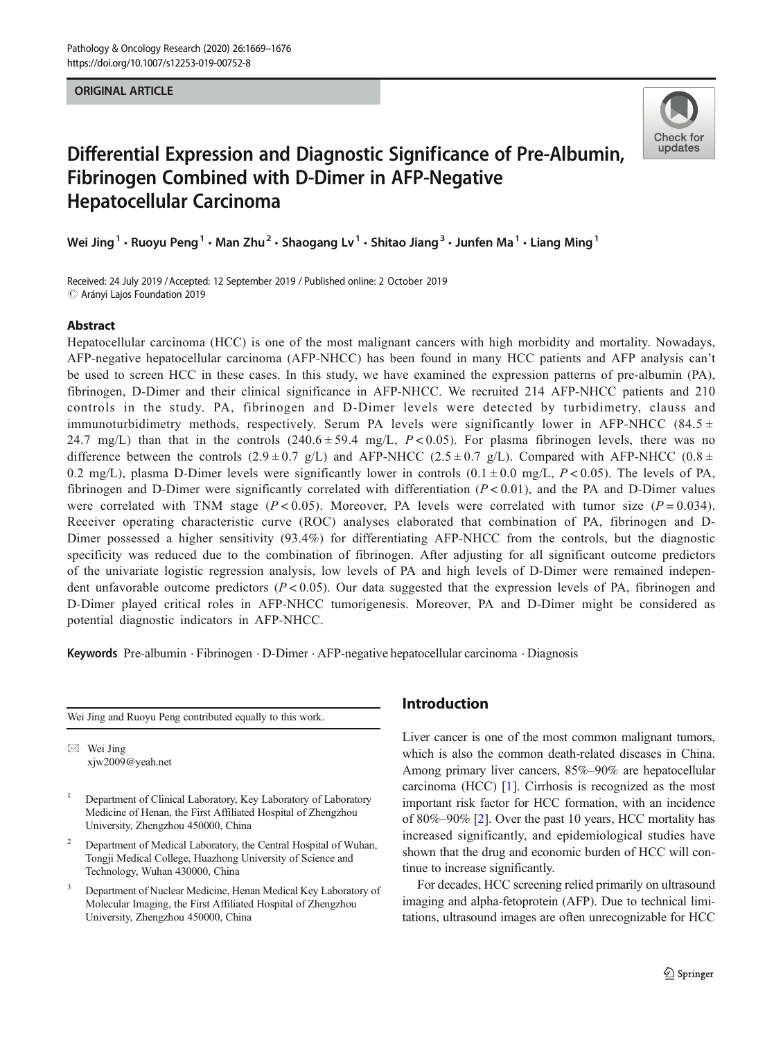# ORIGINAL ARTICLE



# Differential Expression and Diagnostic Significance of Pre-Albumin, Fibrinogen Combined with D-Dimer in AFP-Negative Hepatocellular Carcinoma

Wei Jing<sup>1</sup> • Ruoyu Peng<sup>1</sup> • Man Zhu<sup>2</sup> • Shaogang Lv<sup>1</sup> • Shitao Jiang<sup>3</sup> • Junfen Ma<sup>1</sup> • Liang Ming<sup>1</sup>

Received: 24 July 2019 /Accepted: 12 September 2019 / Published online: 2 October 2019 $\odot$  Arányi Lajos Foundation 2019

## Abstract

Hepatocellular carcinoma (HCC) is one of the most malignant cancers with high morbidity and mortality. Nowadays, AFP-negative hepatocellular carcinoma (AFP-NHCC) has been found in many HCC patients and AFP analysis can't be used to screen HCC in these cases. In this study, we have examined the expression patterns of pre-albumin (PA), fibrinogen, D-Dimer and their clinical significance in AFP-NHCC. We recruited 214 AFP-NHCC patients and 210 controls in the study. PA, fibrinogen and D-Dimer levels were detected by turbidimetry, clauss and immunoturbidimetry methods, respectively. Serum PA levels were significantly lower in AFP-NHCC  $(84.5 \pm$ 24.7 mg/L) than that in the controls  $(240.6 \pm 59.4 \text{ mg/L}, P < 0.05)$ . For plasma fibrinogen levels, there was no difference between the controls (2.9 ± 0.7 g/L) and AFP-NHCC (2.5 ± 0.7 g/L). Compared with AFP-NHCC (0.8 ± 0.2 mg/L), plasma D-Dimer levels were significantly lower in controls  $(0.1 \pm 0.0 \text{ mg/L}, P < 0.05)$ . The levels of PA, fibrinogen and D-Dimer were significantly correlated with differentiation  $(P < 0.01)$ , and the PA and D-Dimer values were correlated with TNM stage  $(P < 0.05)$ . Moreover, PA levels were correlated with tumor size  $(P = 0.034)$ . Receiver operating characteristic curve (ROC) analyses elaborated that combination of PA, fibrinogen and D-Dimer possessed a higher sensitivity (93.4%) for differentiating AFP-NHCC from the controls, but the diagnostic specificity was reduced due to the combination of fibrinogen. After adjusting for all significant outcome predictors of the univariate logistic regression analysis, low levels of PA and high levels of D-Dimer were remained independent unfavorable outcome predictors  $(P < 0.05)$ . Our data suggested that the expression levels of PA, fibrinogen and D-Dimer played critical roles in AFP-NHCC tumorigenesis. Moreover, PA and D-Dimer might be considered as potential diagnostic indicators in AFP-NHCC.

Keywords Pre-albumin . Fibrinogen . D-Dimer . AFP-negative hepatocellular carcinoma . Diagnosis

Wei Jing and Ruoyu Peng contributed equally to this work.

 $\boxtimes$  Wei Iing [xjw2009@yeah.net](mailto:xjw2009@yeah.net)

- <sup>1</sup> Department of Clinical Laboratory, Key Laboratory of Laboratory Medicine of Henan, the First Affiliated Hospital of Zhengzhou University, Zhengzhou 450000, China
- <sup>2</sup> Department of Medical Laboratory, the Central Hospital of Wuhan, Tongji Medical College, Huazhong University of Science and Technology, Wuhan 430000, China
- <sup>3</sup> Department of Nuclear Medicine, Henan Medical Key Laboratory of Molecular Imaging, the First Affiliated Hospital of Zhengzhou University, Zhengzhou 450000, China

# Introduction

Liver cancer is one of the most common malignant tumors, which is also the common death-related diseases in China. Among primary liver cancers, 85%–90% are hepatocellular carcinoma (HCC) [[1](#page-5-0)]. Cirrhosis is recognized as the most important risk factor for HCC formation, with an incidence of 80%–90% [[2\]](#page-5-0). Over the past 10 years, HCC mortality has increased significantly, and epidemiological studies have shown that the drug and economic burden of HCC will continue to increase significantly.

For decades, HCC screening relied primarily on ultrasound imaging and alpha-fetoprotein (AFP). Due to technical limitations, ultrasound images are often unrecognizable for HCC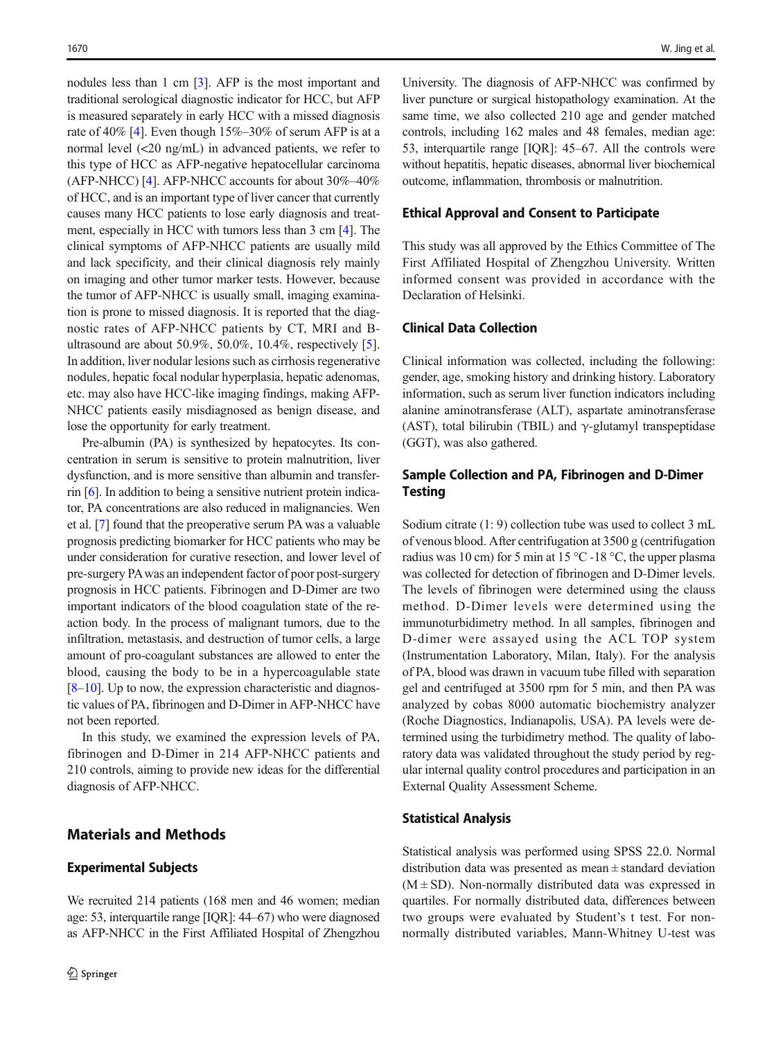nodules less than 1 cm [\[3](#page-5-0)]. AFP is the most important and traditional serological diagnostic indicator for HCC, but AFP is measured separately in early HCC with a missed diagnosis rate of 40% [[4\]](#page-6-0). Even though 15%–30% of serum AFP is at a normal level (<20 ng/mL) in advanced patients, we refer to this type of HCC as AFP-negative hepatocellular carcinoma (AFP-NHCC) [\[4\]](#page-6-0). AFP-NHCC accounts for about 30%–40% of HCC, and is an important type of liver cancer that currently causes many HCC patients to lose early diagnosis and treatment, especially in HCC with tumors less than 3 cm [[4\]](#page-6-0). The clinical symptoms of AFP-NHCC patients are usually mild and lack specificity, and their clinical diagnosis rely mainly on imaging and other tumor marker tests. However, because the tumor of AFP-NHCC is usually small, imaging examination is prone to missed diagnosis. It is reported that the diagnostic rates of AFP-NHCC patients by CT, MRI and Bultrasound are about 50.9%, 50.0%, 10.4%, respectively [[5\]](#page-6-0). In addition, liver nodular lesions such as cirrhosis regenerative nodules, hepatic focal nodular hyperplasia, hepatic adenomas, etc. may also have HCC-like imaging findings, making AFP-NHCC patients easily misdiagnosed as benign disease, and lose the opportunity for early treatment.

Pre-albumin (PA) is synthesized by hepatocytes. Its concentration in serum is sensitive to protein malnutrition, liver dysfunction, and is more sensitive than albumin and transferrin [\[6](#page-6-0)]. In addition to being a sensitive nutrient protein indicator, PA concentrations are also reduced in malignancies. Wen et al. [\[7](#page-6-0)] found that the preoperative serum PA was a valuable prognosis predicting biomarker for HCC patients who may be under consideration for curative resection, and lower level of pre-surgery PAwas an independent factor of poor post-surgery prognosis in HCC patients. Fibrinogen and D-Dimer are two important indicators of the blood coagulation state of the reaction body. In the process of malignant tumors, due to the infiltration, metastasis, and destruction of tumor cells, a large amount of pro-coagulant substances are allowed to enter the blood, causing the body to be in a hypercoagulable state [\[8](#page-6-0)–[10\]](#page-6-0). Up to now, the expression characteristic and diagnostic values of PA, fibrinogen and D-Dimer in AFP-NHCC have not been reported.

In this study, we examined the expression levels of PA, fibrinogen and D-Dimer in 214 AFP-NHCC patients and 210 controls, aiming to provide new ideas for the differential diagnosis of AFP-NHCC.

## Materials and Methods

#### Experimental Subjects

We recruited 214 patients (168 men and 46 women; median age: 53, interquartile range [IQR]: 44–67) who were diagnosed as AFP-NHCC in the First Affiliated Hospital of Zhengzhou

University. The diagnosis of AFP-NHCC was confirmed by liver puncture or surgical histopathology examination. At the same time, we also collected 210 age and gender matched controls, including 162 males and 48 females, median age: 53, interquartile range [IQR]: 45–67. All the controls were without hepatitis, hepatic diseases, abnormal liver biochemical outcome, inflammation, thrombosis or malnutrition.

#### Ethical Approval and Consent to Participate

This study was all approved by the Ethics Committee of The First Affiliated Hospital of Zhengzhou University. Written informed consent was provided in accordance with the Declaration of Helsinki.

## Clinical Data Collection

Clinical information was collected, including the following: gender, age, smoking history and drinking history. Laboratory information, such as serum liver function indicators including alanine aminotransferase (ALT), aspartate aminotransferase (AST), total bilirubin (TBIL) and  $\gamma$ -glutamyl transpeptidase (GGT), was also gathered.

# Sample Collection and PA, Fibrinogen and D-Dimer **Testing**

Sodium citrate (1: 9) collection tube was used to collect 3 mL of venous blood. After centrifugation at 3500 g (centrifugation radius was 10 cm) for 5 min at 15 °C -18 °C, the upper plasma was collected for detection of fibrinogen and D-Dimer levels. The levels of fibrinogen were determined using the clauss method. D-Dimer levels were determined using the immunoturbidimetry method. In all samples, fibrinogen and D-dimer were assayed using the ACL TOP system (Instrumentation Laboratory, Milan, Italy). For the analysis of PA, blood was drawn in vacuum tube filled with separation gel and centrifuged at 3500 rpm for 5 min, and then PA was analyzed by cobas 8000 automatic biochemistry analyzer (Roche Diagnostics, Indianapolis, USA). PA levels were determined using the turbidimetry method. The quality of laboratory data was validated throughout the study period by regular internal quality control procedures and participation in an External Quality Assessment Scheme.

#### Statistical Analysis

Statistical analysis was performed using SPSS 22.0. Normal distribution data was presented as mean ± standard deviation  $(M \pm SD)$ . Non-normally distributed data was expressed in quartiles. For normally distributed data, differences between two groups were evaluated by Student's t test. For nonnormally distributed variables, Mann-Whitney U-test was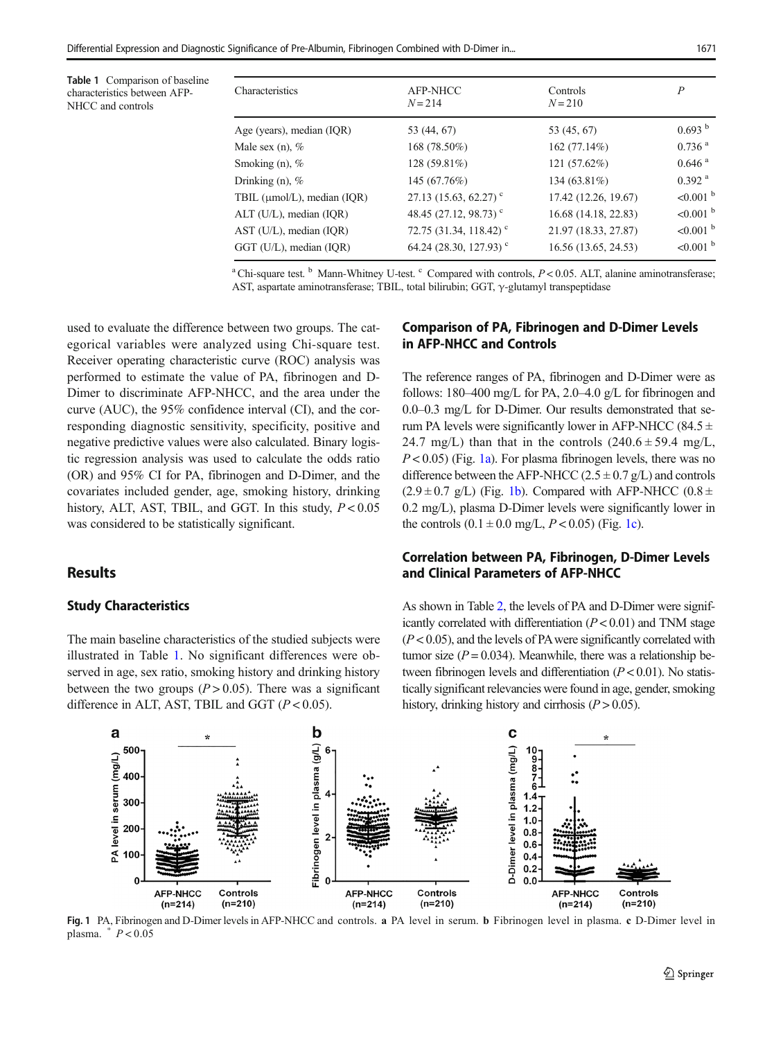| <b>Table 1</b> Comparison of baseline |
|---------------------------------------|
| characteristics between AFP-          |
| NHCC and controls                     |

| Characteristics             | AFP-NHCC<br>$N = 214$               | Controls<br>$N = 210$ | P                    |
|-----------------------------|-------------------------------------|-----------------------|----------------------|
| Age (years), median (IQR)   | 53 (44, 67)                         | 53 (45, 67)           | 0.693 <sup>b</sup>   |
| Male sex $(n)$ , $\%$       | 168 (78.50%)                        | 162 (77.14%)          | $0.736$ <sup>a</sup> |
| Smoking $(n)$ , $\%$        | 128 (59.81%)                        | 121 (57.62%)          | $0.646$ <sup>a</sup> |
| Drinking $(n)$ , $\%$       | 145 (67.76%)                        | 134 $(63.81\%)$       | $0.392$ <sup>a</sup> |
| TBIL (µmol/L), median (IQR) | 27.13 $(15.63, 62.27)$ <sup>c</sup> | 17.42 (12.26, 19.67)  | $< 0.001$ b          |
| ALT (U/L), median (IQR)     | 48.45 $(27.12, 98.73)$ <sup>c</sup> | 16.68 (14.18, 22.83)  | $< 0.001$ b          |
| AST (U/L), median (IQR)     | 72.75 (31.34, 118.42) <sup>c</sup>  | 21.97 (18.33, 27.87)  | $< 0.001$ b          |
| GGT (U/L), median (IQR)     | 64.24 (28.30, 127.93) $\degree$     | 16.56 (13.65, 24.53)  | $< 0.001$ b          |

<sup>a</sup> Chi-square test. <sup>b</sup> Mann-Whitney U-test. <sup>c</sup> Compared with controls,  $P < 0.05$ . ALT, alanine aminotransferase; AST, aspartate aminotransferase; TBIL, total bilirubin; GGT, γ-glutamyl transpeptidase

used to evaluate the difference between two groups. The categorical variables were analyzed using Chi-square test. Receiver operating characteristic curve (ROC) analysis was performed to estimate the value of PA, fibrinogen and D-Dimer to discriminate AFP-NHCC, and the area under the curve (AUC), the 95% confidence interval (CI), and the corresponding diagnostic sensitivity, specificity, positive and negative predictive values were also calculated. Binary logistic regression analysis was used to calculate the odds ratio (OR) and 95% CI for PA, fibrinogen and D-Dimer, and the covariates included gender, age, smoking history, drinking history, ALT, AST, TBIL, and GGT. In this study,  $P < 0.05$ was considered to be statistically significant.

# **Results**

### Study Characteristics

The main baseline characteristics of the studied subjects were illustrated in Table 1. No significant differences were observed in age, sex ratio, smoking history and drinking history between the two groups ( $P > 0.05$ ). There was a significant difference in ALT, AST, TBIL and GGT  $(P < 0.05)$ .

# Comparison of PA, Fibrinogen and D-Dimer Levels in AFP-NHCC and Controls

The reference ranges of PA, fibrinogen and D-Dimer were as follows: 180–400 mg/L for PA, 2.0–4.0 g/L for fibrinogen and 0.0–0.3 mg/L for D-Dimer. Our results demonstrated that serum PA levels were significantly lower in AFP-NHCC (84.5  $\pm$ 24.7 mg/L) than that in the controls  $(240.6 \pm 59.4 \text{ mg/L})$  $P < 0.05$ ) (Fig. 1a). For plasma fibrinogen levels, there was no difference between the AFP-NHCC  $(2.5 \pm 0.7 \text{ g/L})$  and controls  $(2.9 \pm 0.7 \text{ g/L})$  (Fig. 1b). Compared with AFP-NHCC  $(0.8 \pm 0.7 \text{ g/L})$ 0.2 mg/L), plasma D-Dimer levels were significantly lower in the controls  $(0.1 \pm 0.0 \text{ mg/L}, P < 0.05)$  (Fig. 1c).

## Correlation between PA, Fibrinogen, D-Dimer Levels and Clinical Parameters of AFP-NHCC

As shown in Table [2,](#page-3-0) the levels of PA and D-Dimer were significantly correlated with differentiation  $(P < 0.01)$  and TNM stage  $(P < 0.05)$ , and the levels of PA were significantly correlated with tumor size ( $P = 0.034$ ). Meanwhile, there was a relationship between fibrinogen levels and differentiation  $(P < 0.01)$ . No statistically significant relevancies were found in age, gender, smoking history, drinking history and cirrhosis  $(P > 0.05)$ .



Fig. 1 PA, Fibrinogen and D-Dimer levels in AFP-NHCC and controls. a PA level in serum. b Fibrinogen level in plasma. c D-Dimer level in plasma.  $P < 0.05$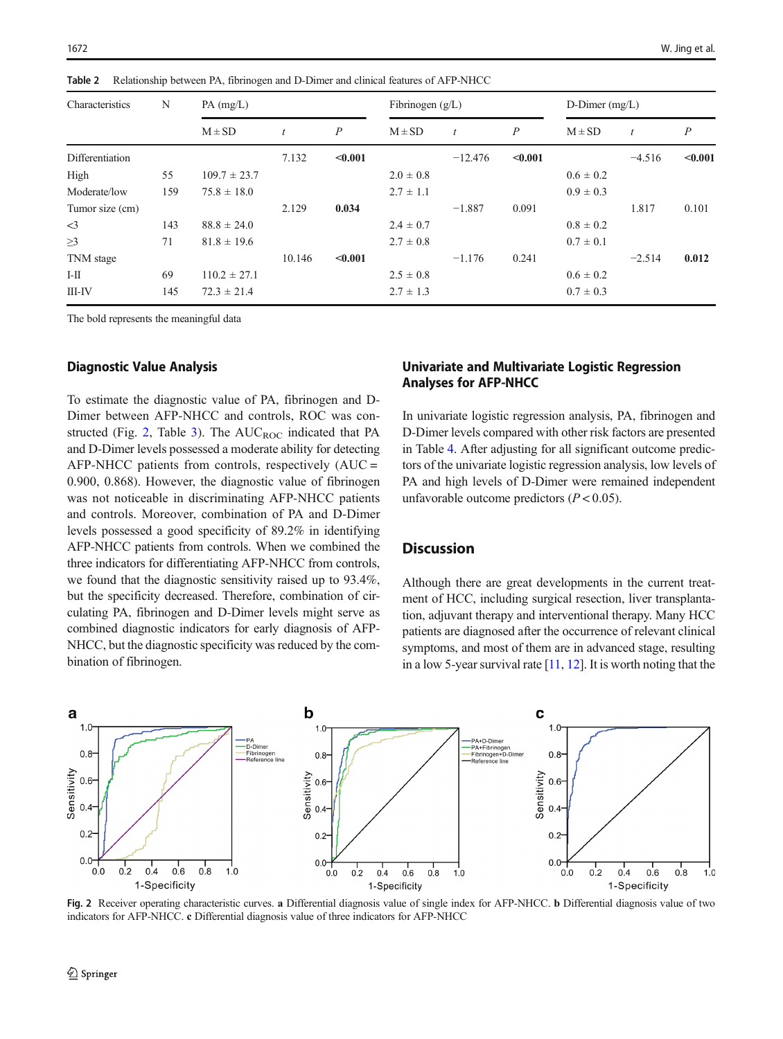| Characteristics | N   | $PA$ (mg/L)      |        |                  | Fibrinogen $(g/L)$ |                |                  | D-Dimer $(mg/L)$ |                  |                  |
|-----------------|-----|------------------|--------|------------------|--------------------|----------------|------------------|------------------|------------------|------------------|
|                 |     | $M \pm SD$       |        | $\boldsymbol{P}$ | $M \pm SD$         | $\mathfrak{t}$ | $\boldsymbol{P}$ | $M \pm SD$       | $\boldsymbol{t}$ | $\boldsymbol{P}$ |
| Differentiation |     |                  | 7.132  | $0.001$          |                    | $-12.476$      | $0.001$          |                  | $-4.516$         | $0.001$          |
| High            | 55  | $109.7 \pm 23.7$ |        |                  | $2.0 \pm 0.8$      |                |                  | $0.6 \pm 0.2$    |                  |                  |
| Moderate/low    | 159 | $75.8 \pm 18.0$  |        |                  | $2.7 \pm 1.1$      |                |                  | $0.9 \pm 0.3$    |                  |                  |
| Tumor size (cm) |     |                  | 2.129  | 0.034            |                    | $-1.887$       | 0.091            |                  | 1.817            | 0.101            |
| $\leq$ 3        | 143 | $88.8 \pm 24.0$  |        |                  | $2.4 \pm 0.7$      |                |                  | $0.8 \pm 0.2$    |                  |                  |
| $\geq$ 3        | 71  | $81.8 \pm 19.6$  |        |                  | $2.7 \pm 0.8$      |                |                  | $0.7 \pm 0.1$    |                  |                  |
| TNM stage       |     |                  | 10.146 | < 0.001          |                    | $-1.176$       | 0.241            |                  | $-2.514$         | 0.012            |
| I-II            | 69  | $110.2 \pm 27.1$ |        |                  | $2.5 \pm 0.8$      |                |                  | $0.6 \pm 0.2$    |                  |                  |
| III-IV          | 145 | $72.3 \pm 21.4$  |        |                  | $2.7 \pm 1.3$      |                |                  | $0.7 \pm 0.3$    |                  |                  |

<span id="page-3-0"></span>Table 2 Relationship between PA, fibrinogen and D-Dimer and clinical features of AFP-NHCC

The bold represents the meaningful data

#### Diagnostic Value Analysis

To estimate the diagnostic value of PA, fibrinogen and D-Dimer between AFP-NHCC and controls, ROC was con-structed (Fig. 2, Table [3](#page-4-0)). The  $AUC_{ROC}$  indicated that PA and D-Dimer levels possessed a moderate ability for detecting AFP-NHCC patients from controls, respectively (AUC = 0.900, 0.868). However, the diagnostic value of fibrinogen was not noticeable in discriminating AFP-NHCC patients and controls. Moreover, combination of PA and D-Dimer levels possessed a good specificity of 89.2% in identifying AFP-NHCC patients from controls. When we combined the three indicators for differentiating AFP-NHCC from controls, we found that the diagnostic sensitivity raised up to 93.4%, but the specificity decreased. Therefore, combination of circulating PA, fibrinogen and D-Dimer levels might serve as combined diagnostic indicators for early diagnosis of AFP-NHCC, but the diagnostic specificity was reduced by the combination of fibrinogen.

## Univariate and Multivariate Logistic Regression Analyses for AFP-NHCC

In univariate logistic regression analysis, PA, fibrinogen and D-Dimer levels compared with other risk factors are presented in Table [4](#page-4-0). After adjusting for all significant outcome predictors of the univariate logistic regression analysis, low levels of PA and high levels of D-Dimer were remained independent unfavorable outcome predictors ( $P < 0.05$ ).

## **Discussion**

Although there are great developments in the current treatment of HCC, including surgical resection, liver transplantation, adjuvant therapy and interventional therapy. Many HCC patients are diagnosed after the occurrence of relevant clinical symptoms, and most of them are in advanced stage, resulting in a low 5-year survival rate  $[11, 12]$  $[11, 12]$  $[11, 12]$  $[11, 12]$ . It is worth noting that the



Fig. 2 Receiver operating characteristic curves. a Differential diagnosis value of single index for AFP-NHCC. b Differential diagnosis value of two indicators for AFP-NHCC. c Differential diagnosis value of three indicators for AFP-NHCC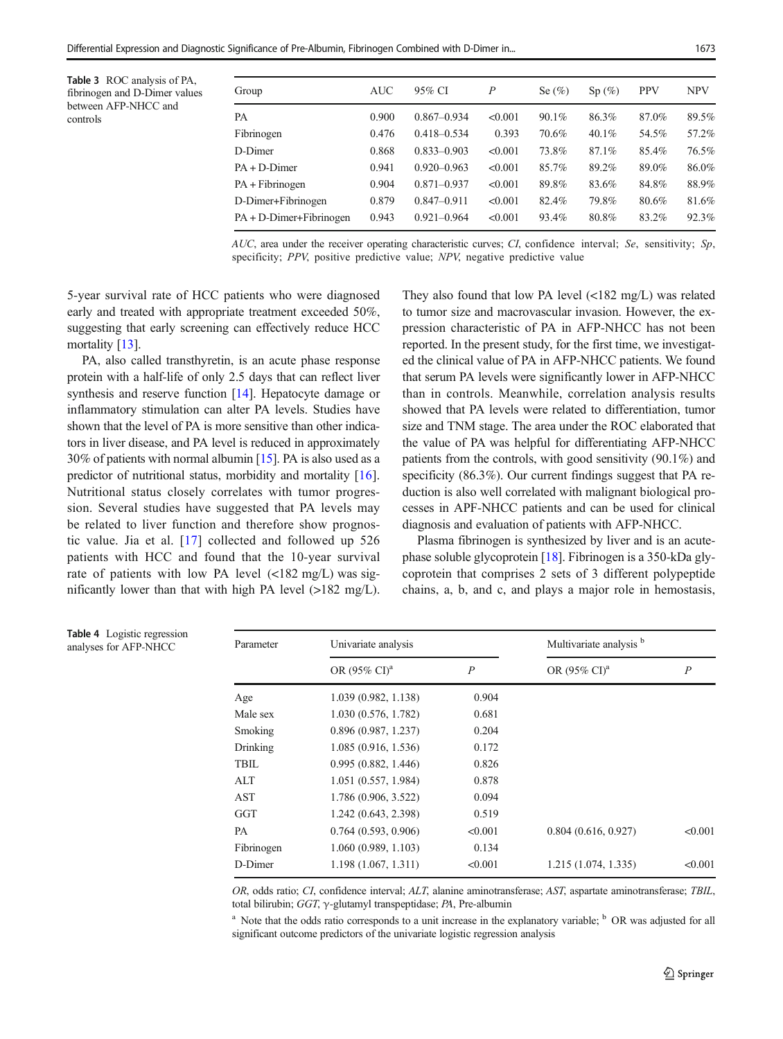<span id="page-4-0"></span>Table 3 ROC analysis of PA, fibrinogen and D-Dimer values between AFP-NHCC and controls

Table 4 Logistic regression analyses for AFP-NHCC

| Group                       | <b>AUC</b> | 95% CI          | $\overline{P}$ | Se $(\%)$ | Sp(%) | <b>PPV</b> | <b>NPV</b> |
|-----------------------------|------------|-----------------|----------------|-----------|-------|------------|------------|
| PA                          | 0.900      | $0.867 - 0.934$ | < 0.001        | $90.1\%$  | 86.3% | 87.0%      | 89.5%      |
| Fibrinogen                  | 0.476      | $0.418 - 0.534$ | 0.393          | 70.6%     | 40.1% | 54.5%      | 57.2%      |
| D-Dimer                     | 0.868      | $0.833 - 0.903$ | < 0.001        | 73.8%     | 87.1% | 85.4%      | 76.5%      |
| $PA + D-Dimer$              | 0.941      | $0.920 - 0.963$ | < 0.001        | 85.7%     | 89.2% | 89.0%      | 86.0%      |
| $PA + Fibrinogen$           | 0.904      | $0.871 - 0.937$ | < 0.001        | 89.8%     | 83.6% | 84.8%      | 88.9%      |
| D-Dimer+Fibrinogen          | 0.879      | $0.847 - 0.911$ | < 0.001        | 82.4%     | 79.8% | 80.6%      | 81.6%      |
| $PA + D-Dimer + Fibrinogen$ | 0.943      | $0.921 - 0.964$ | < 0.001        | 93.4%     | 80.8% | 83.2%      | 92.3%      |

AUC, area under the receiver operating characteristic curves; CI, confidence interval; Se, sensitivity; Sp, specificity; PPV, positive predictive value; NPV, negative predictive value

5-year survival rate of HCC patients who were diagnosed early and treated with appropriate treatment exceeded 50%, suggesting that early screening can effectively reduce HCC mortality [\[13\]](#page-6-0).

PA, also called transthyretin, is an acute phase response protein with a half-life of only 2.5 days that can reflect liver synthesis and reserve function [\[14](#page-6-0)]. Hepatocyte damage or inflammatory stimulation can alter PA levels. Studies have shown that the level of PA is more sensitive than other indicators in liver disease, and PA level is reduced in approximately 30% of patients with normal albumin [[15\]](#page-6-0). PA is also used as a predictor of nutritional status, morbidity and mortality [[16](#page-6-0)]. Nutritional status closely correlates with tumor progression. Several studies have suggested that PA levels may be related to liver function and therefore show prognostic value. Jia et al. [\[17](#page-6-0)] collected and followed up 526 patients with HCC and found that the 10-year survival rate of patients with low PA level (<182 mg/L) was significantly lower than that with high PA level (>182 mg/L).

They also found that low PA level (<182 mg/L) was related to tumor size and macrovascular invasion. However, the expression characteristic of PA in AFP-NHCC has not been reported. In the present study, for the first time, we investigated the clinical value of PA in AFP-NHCC patients. We found that serum PA levels were significantly lower in AFP-NHCC than in controls. Meanwhile, correlation analysis results showed that PA levels were related to differentiation, tumor size and TNM stage. The area under the ROC elaborated that the value of PA was helpful for differentiating AFP-NHCC patients from the controls, with good sensitivity (90.1%) and specificity (86.3%). Our current findings suggest that PA reduction is also well correlated with malignant biological processes in APF-NHCC patients and can be used for clinical diagnosis and evaluation of patients with AFP-NHCC.

Plasma fibrinogen is synthesized by liver and is an acutephase soluble glycoprotein [[18\]](#page-6-0). Fibrinogen is a 350-kDa glycoprotein that comprises 2 sets of 3 different polypeptide chains, a, b, and c, and plays a major role in hemostasis,

| Parameter  | Univariate analysis      |                  | Multivariate analysis <sup>b</sup> |                  |  |
|------------|--------------------------|------------------|------------------------------------|------------------|--|
|            | OR $(95\% \text{ CI})^a$ | $\boldsymbol{P}$ | OR $(95\% \text{ CI})^a$           | $\boldsymbol{P}$ |  |
| Age        | 1.039 (0.982, 1.138)     | 0.904            |                                    |                  |  |
| Male sex   | 1.030 (0.576, 1.782)     | 0.681            |                                    |                  |  |
| Smoking    | 0.896(0.987, 1.237)      | 0.204            |                                    |                  |  |
| Drinking   | 1.085(0.916, 1.536)      | 0.172            |                                    |                  |  |
| TBIL       | 0.995(0.882, 1.446)      | 0.826            |                                    |                  |  |
| ALT        | 1.051(0.557, 1.984)      | 0.878            |                                    |                  |  |
| <b>AST</b> | 1.786 (0.906, 3.522)     | 0.094            |                                    |                  |  |
| GGT        | 1.242 (0.643, 2.398)     | 0.519            |                                    |                  |  |
| PA         | 0.764(0.593, 0.906)      | < 0.001          | 0.804(0.616, 0.927)                | < 0.001          |  |
| Fibrinogen | 1.060(0.989, 1.103)      | 0.134            |                                    |                  |  |
| D-Dimer    | 1.198(1.067, 1.311)      | < 0.001          | 1.215(1.074, 1.335)                | < 0.001          |  |

OR, odds ratio; CI, confidence interval; ALT, alanine aminotransferase; AST, aspartate aminotransferase; TBIL, total bilirubin; GGT, γ-glutamyl transpeptidase; PA, Pre-albumin

<sup>a</sup> Note that the odds ratio corresponds to a unit increase in the explanatory variable; <sup>b</sup> OR was adjusted for all significant outcome predictors of the univariate logistic regression analysis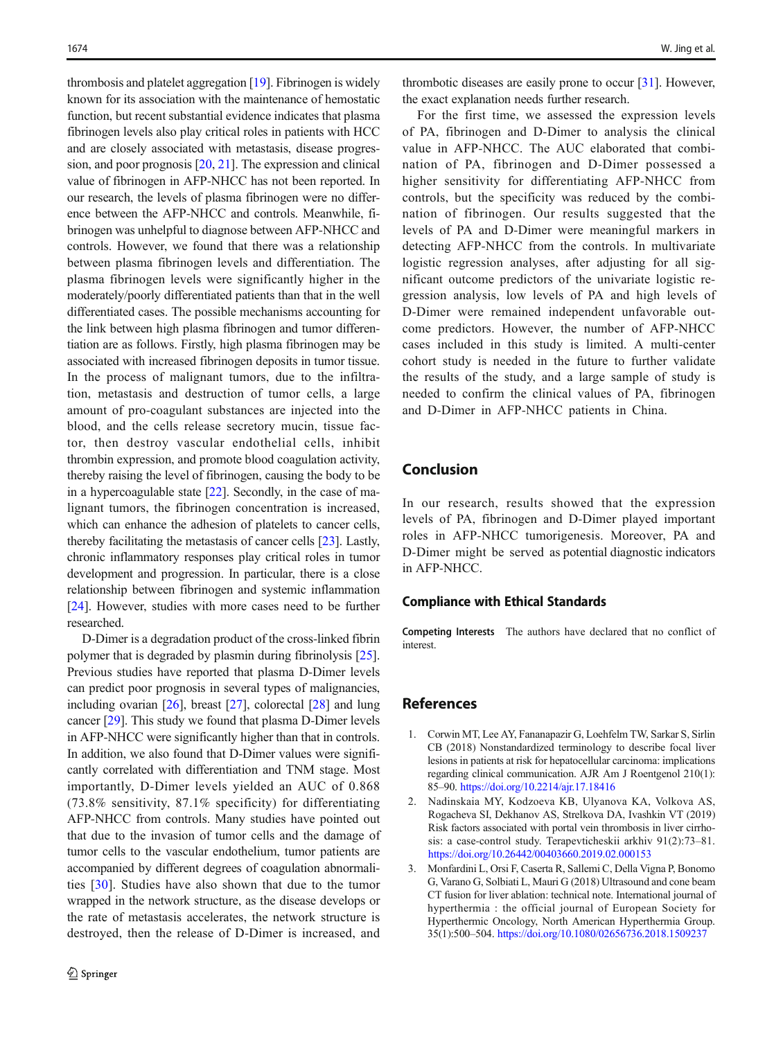<span id="page-5-0"></span>thrombosis and platelet aggregation [[19\]](#page-6-0). Fibrinogen is widely known for its association with the maintenance of hemostatic function, but recent substantial evidence indicates that plasma fibrinogen levels also play critical roles in patients with HCC and are closely associated with metastasis, disease progression, and poor prognosis [\[20](#page-6-0), [21\]](#page-6-0). The expression and clinical value of fibrinogen in AFP-NHCC has not been reported. In our research, the levels of plasma fibrinogen were no difference between the AFP-NHCC and controls. Meanwhile, fibrinogen was unhelpful to diagnose between AFP-NHCC and controls. However, we found that there was a relationship between plasma fibrinogen levels and differentiation. The plasma fibrinogen levels were significantly higher in the moderately/poorly differentiated patients than that in the well differentiated cases. The possible mechanisms accounting for the link between high plasma fibrinogen and tumor differentiation are as follows. Firstly, high plasma fibrinogen may be associated with increased fibrinogen deposits in tumor tissue. In the process of malignant tumors, due to the infiltration, metastasis and destruction of tumor cells, a large amount of pro-coagulant substances are injected into the blood, and the cells release secretory mucin, tissue factor, then destroy vascular endothelial cells, inhibit thrombin expression, and promote blood coagulation activity, thereby raising the level of fibrinogen, causing the body to be in a hypercoagulable state [\[22](#page-6-0)]. Secondly, in the case of malignant tumors, the fibrinogen concentration is increased, which can enhance the adhesion of platelets to cancer cells, thereby facilitating the metastasis of cancer cells [\[23](#page-6-0)]. Lastly, chronic inflammatory responses play critical roles in tumor development and progression. In particular, there is a close relationship between fibrinogen and systemic inflammation [\[24](#page-6-0)]. However, studies with more cases need to be further researched.

D-Dimer is a degradation product of the cross-linked fibrin polymer that is degraded by plasmin during fibrinolysis [[25\]](#page-6-0). Previous studies have reported that plasma D-Dimer levels can predict poor prognosis in several types of malignancies, including ovarian  $[26]$  $[26]$  $[26]$ , breast  $[27]$  $[27]$ , colorectal  $[28]$  $[28]$  and lung cancer [[29\]](#page-6-0). This study we found that plasma D-Dimer levels in AFP-NHCC were significantly higher than that in controls. In addition, we also found that D-Dimer values were significantly correlated with differentiation and TNM stage. Most importantly, D-Dimer levels yielded an AUC of 0.868 (73.8% sensitivity, 87.1% specificity) for differentiating AFP-NHCC from controls. Many studies have pointed out that due to the invasion of tumor cells and the damage of tumor cells to the vascular endothelium, tumor patients are accompanied by different degrees of coagulation abnormalities [\[30](#page-7-0)]. Studies have also shown that due to the tumor wrapped in the network structure, as the disease develops or the rate of metastasis accelerates, the network structure is destroyed, then the release of D-Dimer is increased, and

thrombotic diseases are easily prone to occur [\[31](#page-7-0)]. However, the exact explanation needs further research.

For the first time, we assessed the expression levels of PA, fibrinogen and D-Dimer to analysis the clinical value in AFP-NHCC. The AUC elaborated that combination of PA, fibrinogen and D-Dimer possessed a higher sensitivity for differentiating AFP-NHCC from controls, but the specificity was reduced by the combination of fibrinogen. Our results suggested that the levels of PA and D-Dimer were meaningful markers in detecting AFP-NHCC from the controls. In multivariate logistic regression analyses, after adjusting for all significant outcome predictors of the univariate logistic regression analysis, low levels of PA and high levels of D-Dimer were remained independent unfavorable outcome predictors. However, the number of AFP-NHCC cases included in this study is limited. A multi-center cohort study is needed in the future to further validate the results of the study, and a large sample of study is needed to confirm the clinical values of PA, fibrinogen and D-Dimer in AFP-NHCC patients in China.

# Conclusion

In our research, results showed that the expression levels of PA, fibrinogen and D-Dimer played important roles in AFP-NHCC tumorigenesis. Moreover, PA and D-Dimer might be served as potential diagnostic indicators in AFP-NHCC.

#### Compliance with Ethical Standards

Competing Interests The authors have declared that no conflict of interest.

## References

- 1. Corwin MT, Lee AY, Fananapazir G, Loehfelm TW, Sarkar S, Sirlin CB (2018) Nonstandardized terminology to describe focal liver lesions in patients at risk for hepatocellular carcinoma: implications regarding clinical communication. AJR Am J Roentgenol 210(1): 85–90. <https://doi.org/10.2214/ajr.17.18416>
- 2. Nadinskaia MY, Kodzoeva KB, Ulyanova KA, Volkova AS, Rogacheva SI, Dekhanov AS, Strelkova DA, Ivashkin VT (2019) Risk factors associated with portal vein thrombosis in liver cirrhosis: a case-control study. Terapevticheskii arkhiv 91(2):73–81. <https://doi.org/10.26442/00403660.2019.02.000153>
- 3. Monfardini L, Orsi F, Caserta R, Sallemi C, Della Vigna P, Bonomo G, Varano G, Solbiati L, Mauri G (2018) Ultrasound and cone beam CT fusion for liver ablation: technical note. International journal of hyperthermia : the official journal of European Society for Hyperthermic Oncology, North American Hyperthermia Group. 35(1):500–504. <https://doi.org/10.1080/02656736.2018.1509237>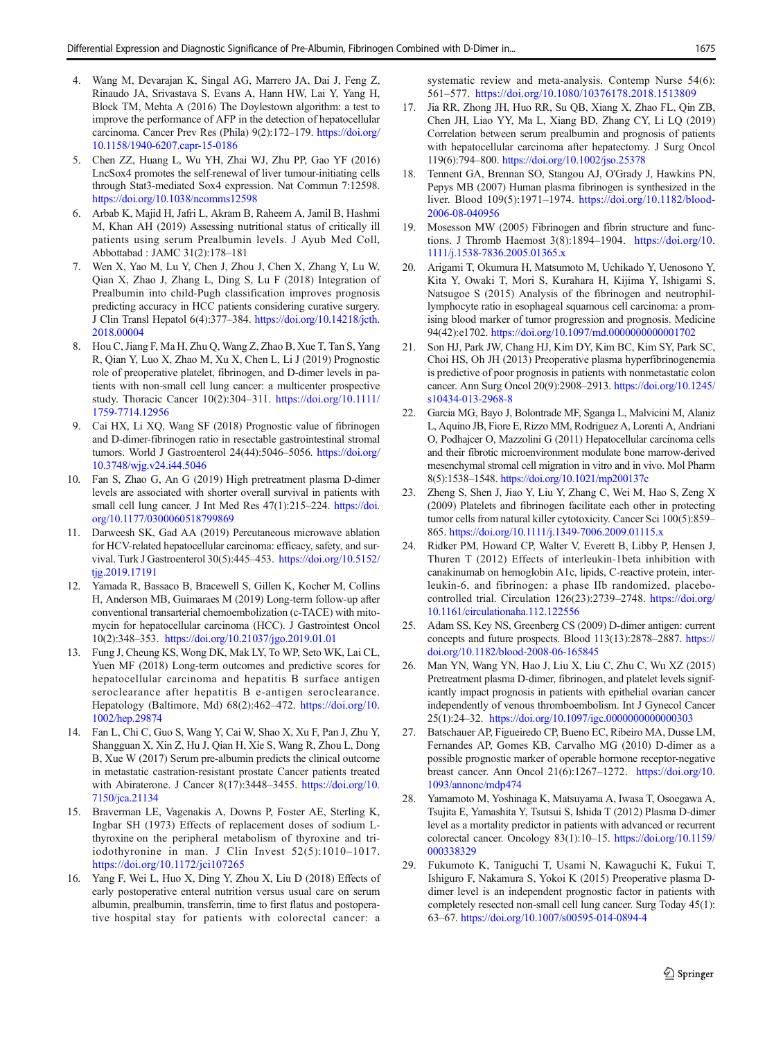- <span id="page-6-0"></span>4. Wang M, Devarajan K, Singal AG, Marrero JA, Dai J, Feng Z, Rinaudo JA, Srivastava S, Evans A, Hann HW, Lai Y, Yang H, Block TM, Mehta A (2016) The Doylestown algorithm: a test to improve the performance of AFP in the detection of hepatocellular carcinoma. Cancer Prev Res (Phila) 9(2):172–179. [https://doi.org/](https://doi.org/10.1158/1940-6207.capr-15-0186) [10.1158/1940-6207.capr-15-0186](https://doi.org/10.1158/1940-6207.capr-15-0186)
- 5. Chen ZZ, Huang L, Wu YH, Zhai WJ, Zhu PP, Gao YF (2016) LncSox4 promotes the self-renewal of liver tumour-initiating cells through Stat3-mediated Sox4 expression. Nat Commun 7:12598. <https://doi.org/10.1038/ncomms12598>
- 6. Arbab K, Majid H, Jafri L, Akram B, Raheem A, Jamil B, Hashmi M, Khan AH (2019) Assessing nutritional status of critically ill patients using serum Prealbumin levels. J Ayub Med Coll, Abbottabad : JAMC 31(2):178–181
- 7. Wen X, Yao M, Lu Y, Chen J, Zhou J, Chen X, Zhang Y, Lu W, Qian X, Zhao J, Zhang L, Ding S, Lu F (2018) Integration of Prealbumin into child-Pugh classification improves prognosis predicting accuracy in HCC patients considering curative surgery. J Clin Transl Hepatol 6(4):377–384. [https://doi.org/10.14218/jcth.](https://doi.org/10.14218/jcth.2018.00004) [2018.00004](https://doi.org/10.14218/jcth.2018.00004)
- 8. Hou C, Jiang F, Ma H, Zhu Q, Wang Z, Zhao B, Xue T, Tan S, Yang R, Qian Y, Luo X, Zhao M, Xu X, Chen L, Li J (2019) Prognostic role of preoperative platelet, fibrinogen, and D-dimer levels in patients with non-small cell lung cancer: a multicenter prospective study. Thoracic Cancer 10(2):304–311. [https://doi.org/10.1111/](https://doi.org/10.1111/1759-7714.12956) [1759-7714.12956](https://doi.org/10.1111/1759-7714.12956)
- 9. Cai HX, Li XQ, Wang SF (2018) Prognostic value of fibrinogen and D-dimer-fibrinogen ratio in resectable gastrointestinal stromal tumors. World J Gastroenterol 24(44):5046–5056. [https://doi.org/](https://doi.org/10.3748/wjg.v24.i44.5046) [10.3748/wjg.v24.i44.5046](https://doi.org/10.3748/wjg.v24.i44.5046)
- 10. Fan S, Zhao G, An G (2019) High pretreatment plasma D-dimer levels are associated with shorter overall survival in patients with small cell lung cancer. J Int Med Res 47(1):215–224. [https://doi.](https://doi.org/10.1177/0300060518799869) [org/10.1177/0300060518799869](https://doi.org/10.1177/0300060518799869)
- 11. Darweesh SK, Gad AA (2019) Percutaneous microwave ablation for HCV-related hepatocellular carcinoma: efficacy, safety, and survival. Turk J Gastroenterol 30(5):445–453. [https://doi.org/10.5152/](https://doi.org/10.5152/tjg.2019.17191) tig.2019.17191
- 12. Yamada R, Bassaco B, Bracewell S, Gillen K, Kocher M, Collins H, Anderson MB, Guimaraes M (2019) Long-term follow-up after conventional transarterial chemoembolization (c-TACE) with mitomycin for hepatocellular carcinoma (HCC). J Gastrointest Oncol 10(2):348–353. <https://doi.org/10.21037/jgo.2019.01.01>
- 13. Fung J, Cheung KS, Wong DK, Mak LY, To WP, Seto WK, Lai CL, Yuen MF (2018) Long-term outcomes and predictive scores for hepatocellular carcinoma and hepatitis B surface antigen seroclearance after hepatitis B e-antigen seroclearance. Hepatology (Baltimore, Md) 68(2):462–472. [https://doi.org/10.](https://doi.org/10.1002/hep.29874) [1002/hep.29874](https://doi.org/10.1002/hep.29874)
- 14. Fan L, Chi C, Guo S, Wang Y, Cai W, Shao X, Xu F, Pan J, Zhu Y, Shangguan X, Xin Z, Hu J, Qian H, Xie S, Wang R, Zhou L, Dong B, Xue W (2017) Serum pre-albumin predicts the clinical outcome in metastatic castration-resistant prostate Cancer patients treated with Abiraterone. J Cancer 8(17):3448-3455. [https://doi.org/10.](https://doi.org/10.7150/jca.21134) [7150/jca.21134](https://doi.org/10.7150/jca.21134)
- 15. Braverman LE, Vagenakis A, Downs P, Foster AE, Sterling K, Ingbar SH (1973) Effects of replacement doses of sodium Lthyroxine on the peripheral metabolism of thyroxine and triiodothyronine in man. J Clin Invest 52(5):1010–1017. <https://doi.org/10.1172/jci107265>
- Yang F, Wei L, Huo X, Ding Y, Zhou X, Liu D (2018) Effects of early postoperative enteral nutrition versus usual care on serum albumin, prealbumin, transferrin, time to first flatus and postoperative hospital stay for patients with colorectal cancer: a

systematic review and meta-analysis. Contemp Nurse 54(6): 561–577. <https://doi.org/10.1080/10376178.2018.1513809>

- 17. Jia RR, Zhong JH, Huo RR, Su QB, Xiang X, Zhao FL, Qin ZB, Chen JH, Liao YY, Ma L, Xiang BD, Zhang CY, Li LQ (2019) Correlation between serum prealbumin and prognosis of patients with hepatocellular carcinoma after hepatectomy. J Surg Oncol 119(6):794–800. <https://doi.org/10.1002/jso.25378>
- 18. Tennent GA, Brennan SO, Stangou AJ, O'Grady J, Hawkins PN, Pepys MB (2007) Human plasma fibrinogen is synthesized in the liver. Blood 109(5):1971–1974. [https://doi.org/10.1182/blood-](https://doi.org/10.1182/blood-2006-08-040956)[2006-08-040956](https://doi.org/10.1182/blood-2006-08-040956)
- 19. Mosesson MW (2005) Fibrinogen and fibrin structure and functions. J Thromb Haemost 3(8):1894–1904. [https://doi.org/10.](https://doi.org/10.1111/j.1538-7836.2005.01365.x) [1111/j.1538-7836.2005.01365.x](https://doi.org/10.1111/j.1538-7836.2005.01365.x)
- 20. Arigami T, Okumura H, Matsumoto M, Uchikado Y, Uenosono Y, Kita Y, Owaki T, Mori S, Kurahara H, Kijima Y, Ishigami S, Natsugoe S (2015) Analysis of the fibrinogen and neutrophillymphocyte ratio in esophageal squamous cell carcinoma: a promising blood marker of tumor progression and prognosis. Medicine 94(42):e1702. <https://doi.org/10.1097/md.0000000000001702>
- 21. Son HJ, Park JW, Chang HJ, Kim DY, Kim BC, Kim SY, Park SC, Choi HS, Oh JH (2013) Preoperative plasma hyperfibrinogenemia is predictive of poor prognosis in patients with nonmetastatic colon cancer. Ann Surg Oncol 20(9):2908–2913. [https://doi.org/10.1245/](https://doi.org/10.1245/s10434-013-2968-8) [s10434-013-2968-8](https://doi.org/10.1245/s10434-013-2968-8)
- 22. Garcia MG, Bayo J, Bolontrade MF, Sganga L, Malvicini M, Alaniz L, Aquino JB, Fiore E, Rizzo MM, Rodriguez A, Lorenti A, Andriani O, Podhajcer O, Mazzolini G (2011) Hepatocellular carcinoma cells and their fibrotic microenvironment modulate bone marrow-derived mesenchymal stromal cell migration in vitro and in vivo. Mol Pharm 8(5):1538–1548. <https://doi.org/10.1021/mp200137c>
- 23. Zheng S, Shen J, Jiao Y, Liu Y, Zhang C, Wei M, Hao S, Zeng X (2009) Platelets and fibrinogen facilitate each other in protecting tumor cells from natural killer cytotoxicity. Cancer Sci 100(5):859– 865. <https://doi.org/10.1111/j.1349-7006.2009.01115.x>
- 24. Ridker PM, Howard CP, Walter V, Everett B, Libby P, Hensen J, Thuren T (2012) Effects of interleukin-1beta inhibition with canakinumab on hemoglobin A1c, lipids, C-reactive protein, interleukin-6, and fibrinogen: a phase IIb randomized, placebocontrolled trial. Circulation 126(23):2739–2748. [https://doi.org/](https://doi.org/10.1161/circulationaha.112.122556) [10.1161/circulationaha.112.122556](https://doi.org/10.1161/circulationaha.112.122556)
- 25. Adam SS, Key NS, Greenberg CS (2009) D-dimer antigen: current concepts and future prospects. Blood 113(13):2878–2887. [https://](https://doi.org/10.1182/blood-2008-06-165845) [doi.org/10.1182/blood-2008-06-165845](https://doi.org/10.1182/blood-2008-06-165845)
- 26. Man YN, Wang YN, Hao J, Liu X, Liu C, Zhu C, Wu XZ (2015) Pretreatment plasma D-dimer, fibrinogen, and platelet levels significantly impact prognosis in patients with epithelial ovarian cancer independently of venous thromboembolism. Int J Gynecol Cancer 25(1):24–32. <https://doi.org/10.1097/igc.0000000000000303>
- 27. Batschauer AP, Figueiredo CP, Bueno EC, Ribeiro MA, Dusse LM, Fernandes AP, Gomes KB, Carvalho MG (2010) D-dimer as a possible prognostic marker of operable hormone receptor-negative breast cancer. Ann Oncol 21(6):1267–1272. [https://doi.org/10.](https://doi.org/10.1093/annonc/mdp474) [1093/annonc/mdp474](https://doi.org/10.1093/annonc/mdp474)
- 28. Yamamoto M, Yoshinaga K, Matsuyama A, Iwasa T, Osoegawa A, Tsujita E, Yamashita Y, Tsutsui S, Ishida T (2012) Plasma D-dimer level as a mortality predictor in patients with advanced or recurrent colorectal cancer. Oncology 83(1):10–15. [https://doi.org/10.1159/](https://doi.org/10.1159/000338329) [000338329](https://doi.org/10.1159/000338329)
- 29. Fukumoto K, Taniguchi T, Usami N, Kawaguchi K, Fukui T, Ishiguro F, Nakamura S, Yokoi K (2015) Preoperative plasma Ddimer level is an independent prognostic factor in patients with completely resected non-small cell lung cancer. Surg Today 45(1): 63–67. <https://doi.org/10.1007/s00595-014-0894-4>